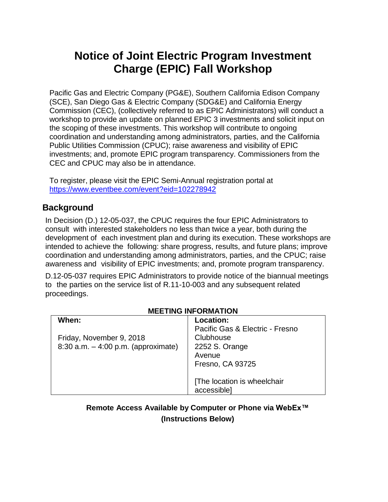# **Notice of Joint Electric Program Investment Charge (EPIC) Fall Workshop**

Pacific Gas and Electric Company (PG&E), Southern California Edison Company (SCE), San Diego Gas & Electric Company (SDG&E) and California Energy Commission (CEC), (collectively referred to as EPIC Administrators) will conduct a workshop to provide an update on planned EPIC 3 investments and solicit input on the scoping of these investments. This workshop will contribute to ongoing coordination and understanding among administrators, parties, and the California Public Utilities Commission (CPUC); raise awareness and visibility of EPIC investments; and, promote EPIC program transparency. Commissioners from the CEC and CPUC may also be in attendance.

To register, please visit the EPIC Semi-Annual registration portal at [https://www.eventbee.com/event?eid=102278942](https://na01.safelinks.protection.outlook.com/?url=https%3A%2F%2Fwww.eventbee.com%2Fevent%3Feid%3D102278942&data=02%7C01%7CJ8B1%40pge.com%7Ceb7e2050b04746b9e64b08d63479d487%7C44ae661aece641aabc967c2c85a08941%7C0%7C0%7C636754095192841104&sdata=norl5xfC2Y%2FREquALTTsLzSRpiOV4zJpheptC3luIm8%3D&reserved=0)

## **Background**

In Decision (D.) 12-05-037, the CPUC requires the four EPIC Administrators to consult with interested stakeholders no less than twice a year, both during the development of each investment plan and during its execution. These workshops are intended to achieve the following: share progress, results, and future plans; improve coordination and understanding among administrators, parties, and the CPUC; raise awareness and visibility of EPIC investments; and, promote program transparency.

D.12-05-037 requires EPIC Administrators to provide notice of the biannual meetings to the parties on the service list of R.11-10-003 and any subsequent related proceedings.

#### **MEETING INFORMATION**

| When:                                 | Location:                       |
|---------------------------------------|---------------------------------|
|                                       | Pacific Gas & Electric - Fresno |
| Friday, November 9, 2018              | Clubhouse                       |
| 8:30 a.m. $-$ 4:00 p.m. (approximate) | 2252 S. Orange                  |
|                                       | Avenue                          |
|                                       | Fresno, CA 93725                |
|                                       |                                 |
|                                       | [The location is wheelchair     |
|                                       | accessible]                     |

## **Remote Access Available by Computer or Phone via WebEx™ (Instructions Below)**